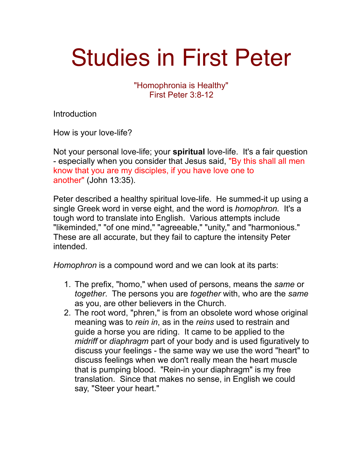## Studies in First Peter

"Homophronia is Healthy" First Peter 3:8-12

Introduction

How is your love-life?

Not your personal love-life; your **spiritual** love-life. It's a fair question - especially when you consider that Jesus said, "By this shall all men know that you are my disciples, if you have love one to another" (John 13:35).

Peter described a healthy spiritual love-life. He summed-it up using a single Greek word in verse eight, and the word is *homophron.* It's a tough word to translate into English. Various attempts include "likeminded," "of one mind," "agreeable," "unity," and "harmonious." These are all accurate, but they fail to capture the intensity Peter intended.

*Homophron* is a compound word and we can look at its parts:

- 1. The prefix, "homo," when used of persons, means the *same* or *together*. The persons you are *together* with, who are the *same* as you, are other believers in the Church.
- 2. The root word, "phren," is from an obsolete word whose original meaning was to *rein in*, as in the *reins* used to restrain and guide a horse you are riding. It came to be applied to the *midriff* or *diaphragm* part of your body and is used figuratively to discuss your feelings - the same way we use the word "heart" to discuss feelings when we don't really mean the heart muscle that is pumping blood. "Rein-in your diaphragm" is my free translation. Since that makes no sense, in English we could say, "Steer your heart."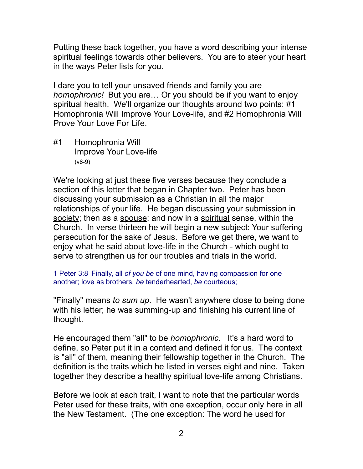Putting these back together, you have a word describing your intense spiritual feelings towards other believers. You are to steer your heart in the ways Peter lists for you.

I dare you to tell your unsaved friends and family you are *homophronic!* But you are… Or you should be if you want to enjoy spiritual health. We'll organize our thoughts around two points: #1 Homophronia Will Improve Your Love-life, and #2 Homophronia Will Prove Your Love For Life.

#1 Homophronia Will Improve Your Love-life (v8-9)

We're looking at just these five verses because they conclude a section of this letter that began in Chapter two. Peter has been discussing your submission as a Christian in all the major relationships of your life. He began discussing your submission in society; then as a spouse; and now in a spiritual sense, within the Church. In verse thirteen he will begin a new subject: Your suffering persecution for the sake of Jesus. Before we get there, we want to enjoy what he said about love-life in the Church - which ought to serve to strengthen us for our troubles and trials in the world.

1 Peter 3:8 Finally, all *of you be* of one mind, having compassion for one another; love as brothers, *be* tenderhearted, *be* courteous;

"Finally" means *to sum up*. He wasn't anywhere close to being done with his letter; he was summing-up and finishing his current line of thought.

He encouraged them "all" to be *homophronic*. It's a hard word to define, so Peter put it in a context and defined it for us. The context is "all" of them, meaning their fellowship together in the Church. The definition is the traits which he listed in verses eight and nine. Taken together they describe a healthy spiritual love-life among Christians.

Before we look at each trait, I want to note that the particular words Peter used for these traits, with one exception, occur only here in all the New Testament. (The one exception: The word he used for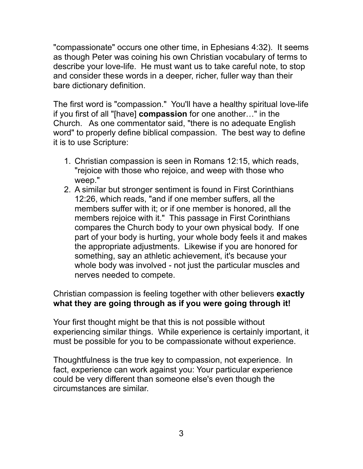"compassionate" occurs one other time, in Ephesians 4:32). It seems as though Peter was coining his own Christian vocabulary of terms to describe your love-life. He must want us to take careful note, to stop and consider these words in a deeper, richer, fuller way than their bare dictionary definition.

The first word is "compassion." You'll have a healthy spiritual love-life if you first of all "[have] **compassion** for one another…" in the Church. As one commentator said, "there is no adequate English word" to properly define biblical compassion. The best way to define it is to use Scripture:

- 1. Christian compassion is seen in Romans 12:15, which reads, "rejoice with those who rejoice, and weep with those who weep."
- 2. A similar but stronger sentiment is found in First Corinthians 12:26, which reads, "and if one member suffers, all the members suffer with it; or if one member is honored, all the members rejoice with it." This passage in First Corinthians compares the Church body to your own physical body. If one part of your body is hurting, your whole body feels it and makes the appropriate adjustments. Likewise if you are honored for something, say an athletic achievement, it's because your whole body was involved - not just the particular muscles and nerves needed to compete.

Christian compassion is feeling together with other believers **exactly what they are going through as if you were going through it!**

Your first thought might be that this is not possible without experiencing similar things. While experience is certainly important, it must be possible for you to be compassionate without experience.

Thoughtfulness is the true key to compassion, not experience. In fact, experience can work against you: Your particular experience could be very different than someone else's even though the circumstances are similar.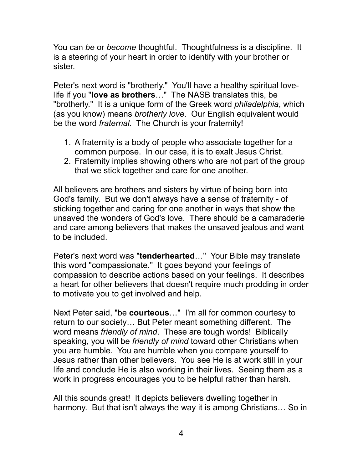You can *be* or *become* thoughtful. Thoughtfulness is a discipline. It is a steering of your heart in order to identify with your brother or sister.

Peter's next word is "brotherly." You'll have a healthy spiritual lovelife if you "**love as brothers**…" The NASB translates this, be "brotherly." It is a unique form of the Greek word *philadelphia*, which (as you know) means *brotherly love*. Our English equivalent would be the word *fraternal*. The Church is your fraternity!

- 1. A fraternity is a body of people who associate together for a common purpose. In our case, it is to exalt Jesus Christ.
- 2. Fraternity implies showing others who are not part of the group that we stick together and care for one another.

All believers are brothers and sisters by virtue of being born into God's family. But we don't always have a sense of fraternity - of sticking together and caring for one another in ways that show the unsaved the wonders of God's love. There should be a camaraderie and care among believers that makes the unsaved jealous and want to be included.

Peter's next word was "**tenderhearted**…" Your Bible may translate this word "compassionate." It goes beyond your feelings of compassion to describe actions based on your feelings. It describes a heart for other believers that doesn't require much prodding in order to motivate you to get involved and help.

Next Peter said, "be **courteous**…" I'm all for common courtesy to return to our society… But Peter meant something different. The word means *friendly of mind*. These are tough words! Biblically speaking, you will be *friendly of mind* toward other Christians when you are humble. You are humble when you compare yourself to Jesus rather than other believers. You see He is at work still in your life and conclude He is also working in their lives. Seeing them as a work in progress encourages you to be helpful rather than harsh.

All this sounds great! It depicts believers dwelling together in harmony. But that isn't always the way it is among Christians… So in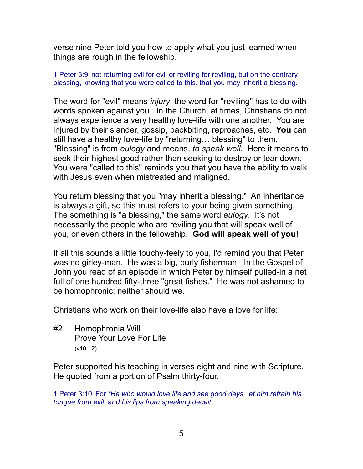verse nine Peter told you how to apply what you just learned when things are rough in the fellowship.

1 Peter 3:9 not returning evil for evil or reviling for reviling, but on the contrary blessing, knowing that you were called to this, that you may inherit a blessing.

The word for "evil" means *injury*; the word for "reviling" has to do with words spoken against you. In the Church, at times, Christians do not always experience a very healthy love-life with one another. You are injured by their slander, gossip, backbiting, reproaches, etc. **You** can still have a healthy love-life by "returning… blessing" to them. "Blessing" is from *eulogy* and means, *to speak well*. Here it means to seek their highest good rather than seeking to destroy or tear down. You were "called to this" reminds you that you have the ability to walk with Jesus even when mistreated and maligned.

You return blessing that you "may inherit a blessing." An inheritance is always a gift, so this must refers to your being given something. The something is "a blessing," the same word *eulogy*. It's not necessarily the people who are reviling you that will speak well of you, or even others in the fellowship. **God will speak well of you!**

If all this sounds a little touchy-feely to you, I'd remind you that Peter was no girley-man. He was a big, burly fisherman. In the Gospel of John you read of an episode in which Peter by himself pulled-in a net full of one hundred fifty-three "great fishes." He was not ashamed to be homophronic; neither should we.

Christians who work on their love-life also have a love for life:

#2 Homophronia Will Prove Your Love For Life (v10-12)

Peter supported his teaching in verses eight and nine with Scripture. He quoted from a portion of Psalm thirty-four.

1 Peter 3:10 For *"He who would love life* a*nd see good days,* l*et him refrain his tongue from evil,* a*nd his lips from speaking deceit.*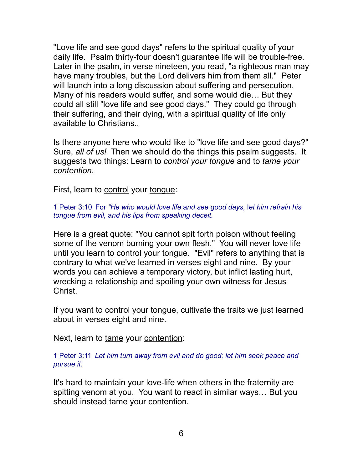"Love life and see good days" refers to the spiritual quality of your daily life. Psalm thirty-four doesn't guarantee life will be trouble-free. Later in the psalm, in verse nineteen, you read, "a righteous man may have many troubles, but the Lord delivers him from them all." Peter will launch into a long discussion about suffering and persecution. Many of his readers would suffer, and some would die… But they could all still "love life and see good days." They could go through their suffering, and their dying, with a spiritual quality of life only available to Christians..

Is there anyone here who would like to "love life and see good days?" Sure, *all of us!* Then we should do the things this psalm suggests. It suggests two things: Learn to *control your tongue* and to *tame your contention*.

First, learn to control your tonque:

1 Peter 3:10 For *"He who would love life* a*nd see good days,* l*et him refrain his tongue from evil,* a*nd his lips from speaking deceit.*

Here is a great quote: "You cannot spit forth poison without feeling some of the venom burning your own flesh." You will never love life until you learn to control your tongue. "Evil" refers to anything that is contrary to what we've learned in verses eight and nine. By your words you can achieve a temporary victory, but inflict lasting hurt, wrecking a relationship and spoiling your own witness for Jesus Christ.

If you want to control your tongue, cultivate the traits we just learned about in verses eight and nine.

Next, learn to tame your contention:

1 Peter 3:11 *Let him turn away from evil and do good; let him seek peace and pursue it.* 

It's hard to maintain your love-life when others in the fraternity are spitting venom at you. You want to react in similar ways… But you should instead tame your contention.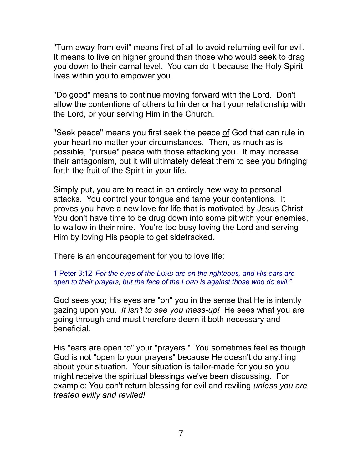"Turn away from evil" means first of all to avoid returning evil for evil. It means to live on higher ground than those who would seek to drag you down to their carnal level. You can do it because the Holy Spirit lives within you to empower you.

"Do good" means to continue moving forward with the Lord. Don't allow the contentions of others to hinder or halt your relationship with the Lord, or your serving Him in the Church.

"Seek peace" means you first seek the peace of God that can rule in your heart no matter your circumstances. Then, as much as is possible, "pursue" peace with those attacking you. It may increase their antagonism, but it will ultimately defeat them to see you bringing forth the fruit of the Spirit in your life.

Simply put, you are to react in an entirely new way to personal attacks. You control your tongue and tame your contentions. It proves you have a new love for life that is motivated by Jesus Christ. You don't have time to be drug down into some pit with your enemies, to wallow in their mire. You're too busy loving the Lord and serving Him by loving His people to get sidetracked.

There is an encouragement for you to love life:

## 1 Peter 3:12 *For the eyes of the LORD are on the righteous, and His ears are open to their prayers; but the face of the LORD is against those who do evil."*

God sees you; His eyes are "on" you in the sense that He is intently gazing upon you. *It isn't to see you mess-up!* He sees what you are going through and must therefore deem it both necessary and beneficial.

His "ears are open to" your "prayers." You sometimes feel as though God is not "open to your prayers" because He doesn't do anything about your situation. Your situation is tailor-made for you so you might receive the spiritual blessings we've been discussing. For example: You can't return blessing for evil and reviling *unless you are treated evilly and reviled!*